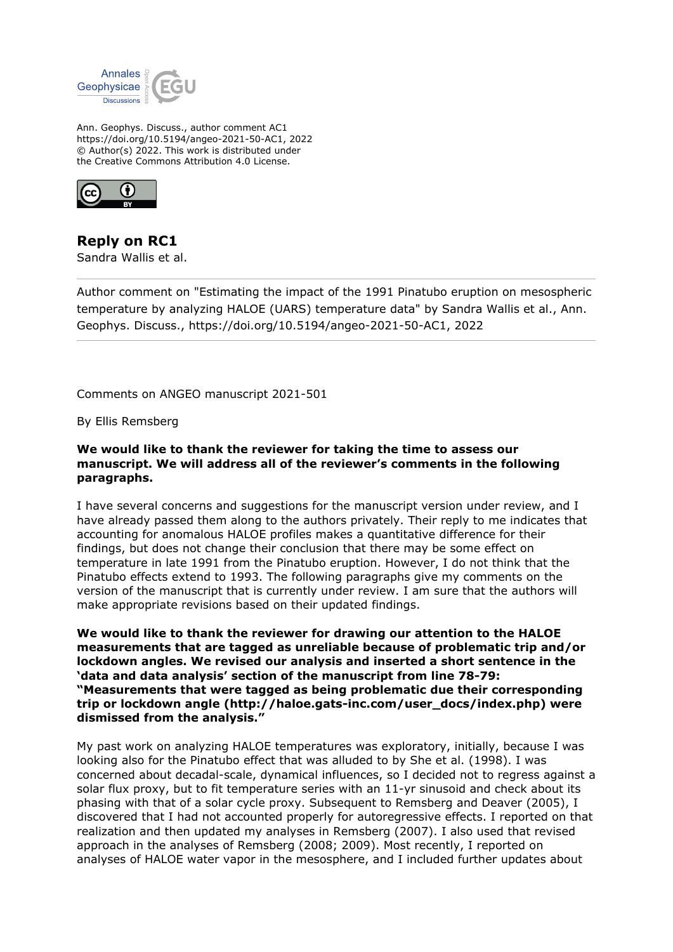

Ann. Geophys. Discuss., author comment AC1 https://doi.org/10.5194/angeo-2021-50-AC1, 2022 © Author(s) 2022. This work is distributed under the Creative Commons Attribution 4.0 License.



**Reply on RC1** Sandra Wallis et al.

Author comment on "Estimating the impact of the 1991 Pinatubo eruption on mesospheric temperature by analyzing HALOE (UARS) temperature data" by Sandra Wallis et al., Ann. Geophys. Discuss., https://doi.org/10.5194/angeo-2021-50-AC1, 2022

Comments on ANGEO manuscript 2021-501

By Ellis Remsberg

**We would like to thank the reviewer for taking the time to assess our manuscript. We will address all of the reviewer's comments in the following paragraphs.**

I have several concerns and suggestions for the manuscript version under review, and I have already passed them along to the authors privately. Their reply to me indicates that accounting for anomalous HALOE profiles makes a quantitative difference for their findings, but does not change their conclusion that there may be some effect on temperature in late 1991 from the Pinatubo eruption. However, I do not think that the Pinatubo effects extend to 1993. The following paragraphs give my comments on the version of the manuscript that is currently under review. I am sure that the authors will make appropriate revisions based on their updated findings.

**We would like to thank the reviewer for drawing our attention to the HALOE measurements that are tagged as unreliable because of problematic trip and/or lockdown angles. We revised our analysis and inserted a short sentence in the 'data and data analysis' section of the manuscript from line 78-79: "Measurements that were tagged as being problematic due their corresponding trip or lockdown angle (http://haloe.gats-inc.com/user\_docs/index.php) were dismissed from the analysis."**

My past work on analyzing HALOE temperatures was exploratory, initially, because I was looking also for the Pinatubo effect that was alluded to by She et al. (1998). I was concerned about decadal-scale, dynamical influences, so I decided not to regress against a solar flux proxy, but to fit temperature series with an 11-yr sinusoid and check about its phasing with that of a solar cycle proxy. Subsequent to Remsberg and Deaver (2005), I discovered that I had not accounted properly for autoregressive effects. I reported on that realization and then updated my analyses in Remsberg (2007). I also used that revised approach in the analyses of Remsberg (2008; 2009). Most recently, I reported on analyses of HALOE water vapor in the mesosphere, and I included further updates about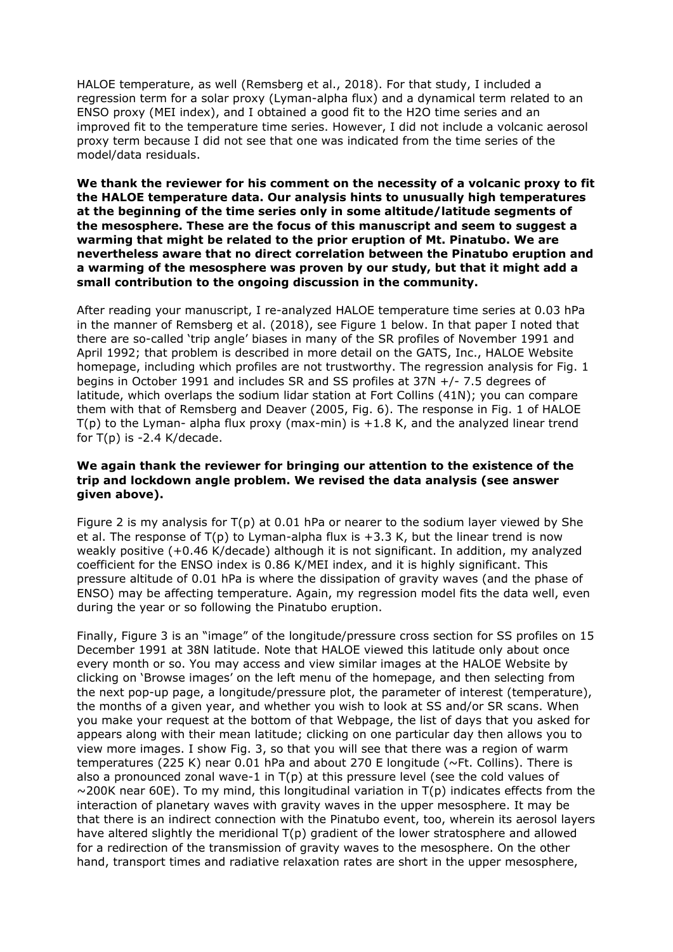HALOE temperature, as well (Remsberg et al., 2018). For that study, I included a regression term for a solar proxy (Lyman-alpha flux) and a dynamical term related to an ENSO proxy (MEI index), and I obtained a good fit to the H2O time series and an improved fit to the temperature time series. However, I did not include a volcanic aerosol proxy term because I did not see that one was indicated from the time series of the model/data residuals.

**We thank the reviewer for his comment on the necessity of a volcanic proxy to fit the HALOE temperature data. Our analysis hints to unusually high temperatures at the beginning of the time series only in some altitude/latitude segments of the mesosphere. These are the focus of this manuscript and seem to suggest a warming that might be related to the prior eruption of Mt. Pinatubo. We are nevertheless aware that no direct correlation between the Pinatubo eruption and a warming of the mesosphere was proven by our study, but that it might add a small contribution to the ongoing discussion in the community.**

After reading your manuscript, I re-analyzed HALOE temperature time series at 0.03 hPa in the manner of Remsberg et al. (2018), see Figure 1 below. In that paper I noted that there are so-called 'trip angle' biases in many of the SR profiles of November 1991 and April 1992; that problem is described in more detail on the GATS, Inc., HALOE Website homepage, including which profiles are not trustworthy. The regression analysis for Fig. 1 begins in October 1991 and includes SR and SS profiles at 37N +/- 7.5 degrees of latitude, which overlaps the sodium lidar station at Fort Collins (41N); you can compare them with that of Remsberg and Deaver (2005, Fig. 6). The response in Fig. 1 of HALOE  $T(p)$  to the Lyman- alpha flux proxy (max-min) is  $+1.8$  K, and the analyzed linear trend for  $T(p)$  is -2.4 K/decade.

## **We again thank the reviewer for bringing our attention to the existence of the trip and lockdown angle problem. We revised the data analysis (see answer given above).**

Figure 2 is my analysis for  $T(p)$  at 0.01 hPa or nearer to the sodium layer viewed by She et al. The response of  $T(p)$  to Lyman-alpha flux is  $+3.3$  K, but the linear trend is now weakly positive (+0.46 K/decade) although it is not significant. In addition, my analyzed coefficient for the ENSO index is 0.86 K/MEI index, and it is highly significant. This pressure altitude of 0.01 hPa is where the dissipation of gravity waves (and the phase of ENSO) may be affecting temperature. Again, my regression model fits the data well, even during the year or so following the Pinatubo eruption.

Finally, Figure 3 is an "image" of the longitude/pressure cross section for SS profiles on 15 December 1991 at 38N latitude. Note that HALOE viewed this latitude only about once every month or so. You may access and view similar images at the HALOE Website by clicking on 'Browse images' on the left menu of the homepage, and then selecting from the next pop-up page, a longitude/pressure plot, the parameter of interest (temperature), the months of a given year, and whether you wish to look at SS and/or SR scans. When you make your request at the bottom of that Webpage, the list of days that you asked for appears along with their mean latitude; clicking on one particular day then allows you to view more images. I show Fig. 3, so that you will see that there was a region of warm temperatures (225 K) near 0.01 hPa and about 270 E longitude ( $\nu$ Ft. Collins). There is also a pronounced zonal wave-1 in  $T(p)$  at this pressure level (see the cold values of  $\sim$ 200K near 60E). To my mind, this longitudinal variation in T(p) indicates effects from the interaction of planetary waves with gravity waves in the upper mesosphere. It may be that there is an indirect connection with the Pinatubo event, too, wherein its aerosol layers have altered slightly the meridional T(p) gradient of the lower stratosphere and allowed for a redirection of the transmission of gravity waves to the mesosphere. On the other hand, transport times and radiative relaxation rates are short in the upper mesosphere,